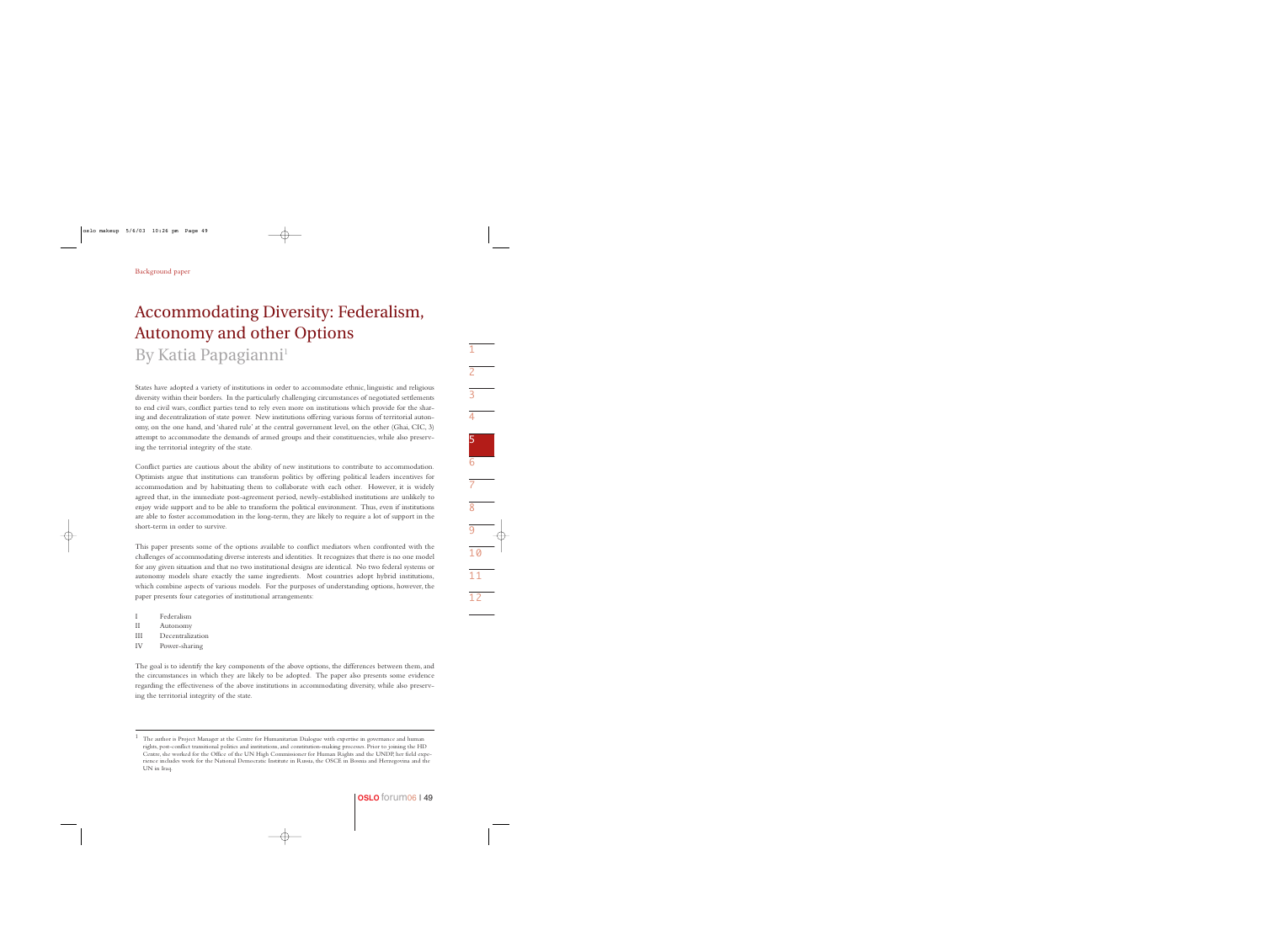# Accommodating Diversity: Federalism, Autonomy and other Options By Katia Papagianni<sup>1</sup>

States have adopted a variety of institutions in order to accommodate ethnic, linguistic and religious diversity within their borders. In the particularly challenging circumstances of negotiated settlements to end civil wars, conflict parties tend to rely even more on institutions which provide for the sharing and decentralization of state power. New institutions offering various forms of territorial autonomy, on the one hand, and 'shared rule' at the central government level, on the other (Ghai, CIC, 3) attempt to accommodate the demands of armed groups and their constituencies, while also preserving the territorial integrity of the state.

Conflict parties are cautious about the ability of new institutions to contribute to accommodation. Optimists argue that institutions can transform politics by offering political leaders incentives for accommodation and by habituating them to collaborate with each other. However, it is widely agreed that, in the immediate post-agreement period, newly-established institutions are unlikely to enjoy wide support and to be able to transform the political environment. Thus, even if institutions are able to foster accommodation in the long-term, they are likely to require a lot of support in the short-term in order to survive.

This paper presents some of the options available to conflict mediators when confronted with the challenges of accommodating diverse interests and identities. It recognizes that there is no one model for any given situation and that no two institutional designs are identical. No two federal systems or autonomy models share exactly the same ingredients. Most countries adopt hybrid institutions, which combine aspects of various models. For the purposes of understanding options, however, the paper presents four categories of institutional arrangements:

- I Federalism
- II Autonomy
- III Decentralization
- IV Power-sharing

The goal is to identify the key components of the above options, the differences between them, and the circumstances in which they are likely to be adopted. The paper also presents some evidence regarding the effectiveness of the above institutions in accommodating diversity, while also preserving the territorial integrity of the state.

<sup>1</sup> The author is Project Manager at the Centre for Humanitarian Dialogue with expertise in governance and human rights, post-conflict transitional politics and institutions, and constitution-making processes. Prior to joining the HD Centre, she worked for the Office of the UN High Commissioner for Human Rights and the UNDP, her field experience includes work for the National Democratic Institute in Russia, the OSCE in Bosnia and Herzegovina and the UN in Iraq.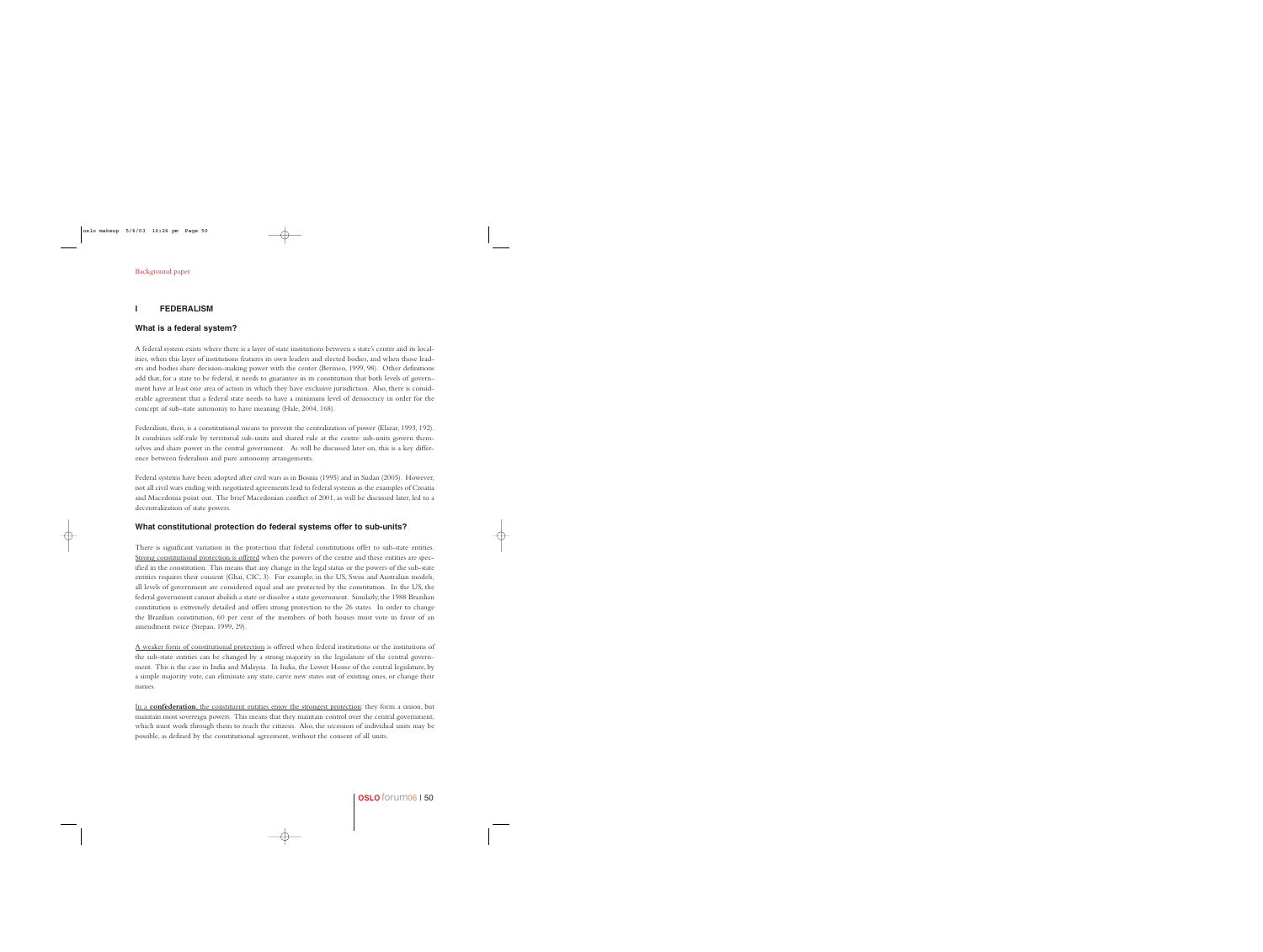# **I FEDERALISM**

## **What is a federal system?**

A federal system exists where there is a layer of state institutions between a state's centre and its localities, when this layer of institutions features its own leaders and elected bodies, and when those leaders and bodies share decision-making power with the center (Bermeo, 1999, 98). Other definitions add that, for a state to be federal, it needs to guarantee in its constitution that both levels of government have at least one area of action in which they have exclusive jurisdiction. Also, there is considerable agreement that a federal state needs to have a minimum level of democracy in order for the concept of sub-state autonomy to have meaning (Hale, 2004, 168).

Federalism, then, is a constitutional means to prevent the centralization of power (Elazar, 1993, 192). It combines self-rule by territorial sub-units and shared rule at the centre: sub-units govern themselves and share power in the central government. As will be discussed later on, this is a key difference between federalism and pure autonomy arrangements.

Federal systems have been adopted after civil wars as in Bosnia (1995) and in Sudan (2005). However, not all civil wars ending with negotiated agreements lead to federal systems as the examples of Croatia and Macedonia point out. The brief Macedonian conflict of 2001, as will be discussed later, led to a decentralization of state powers.

#### **What constitutional protection do federal systems offer to sub-units?**

There is significant variation in the protection that federal constitutions offer to sub-state entities. Strong constitutional protection is offered when the powers of the centre and these entities are specified in the constitution. This means that any change in the legal status or the powers of the sub-state entities requires their consent (Ghai, CIC, 3). For example, in the US, Swiss and Australian models, all levels of government are considered equal and are protected by the constitution. In the US, the federal government cannot abolish a state or dissolve a state government. Similarly, the 1988 Brazilian constitution is extremely detailed and offers strong protection to the 26 states. In order to change the Brazilian constitution, 60 per cent of the members of both houses must vote in favor of an amendment twice (Stepan, 1999, 29).

A weaker form of constitutional protection is offered when federal institutions or the institutions of the sub-state entities can be changed by a strong majority in the legislature of the central government. This is the case in India and Malaysia. In India, the Lower House of the central legislature, by a simple majority vote, can eliminate any state, carve new states out of existing ones, or change their names.

In a **confederation**, the constituent entities enjoy the strongest protection: they form a union, but maintain most sovereign powers. This means that they maintain control over the central government, which must work through them to reach the citizens. Also, the secession of individual units may be possible, as defined by the constitutional agreement, without the consent of all units.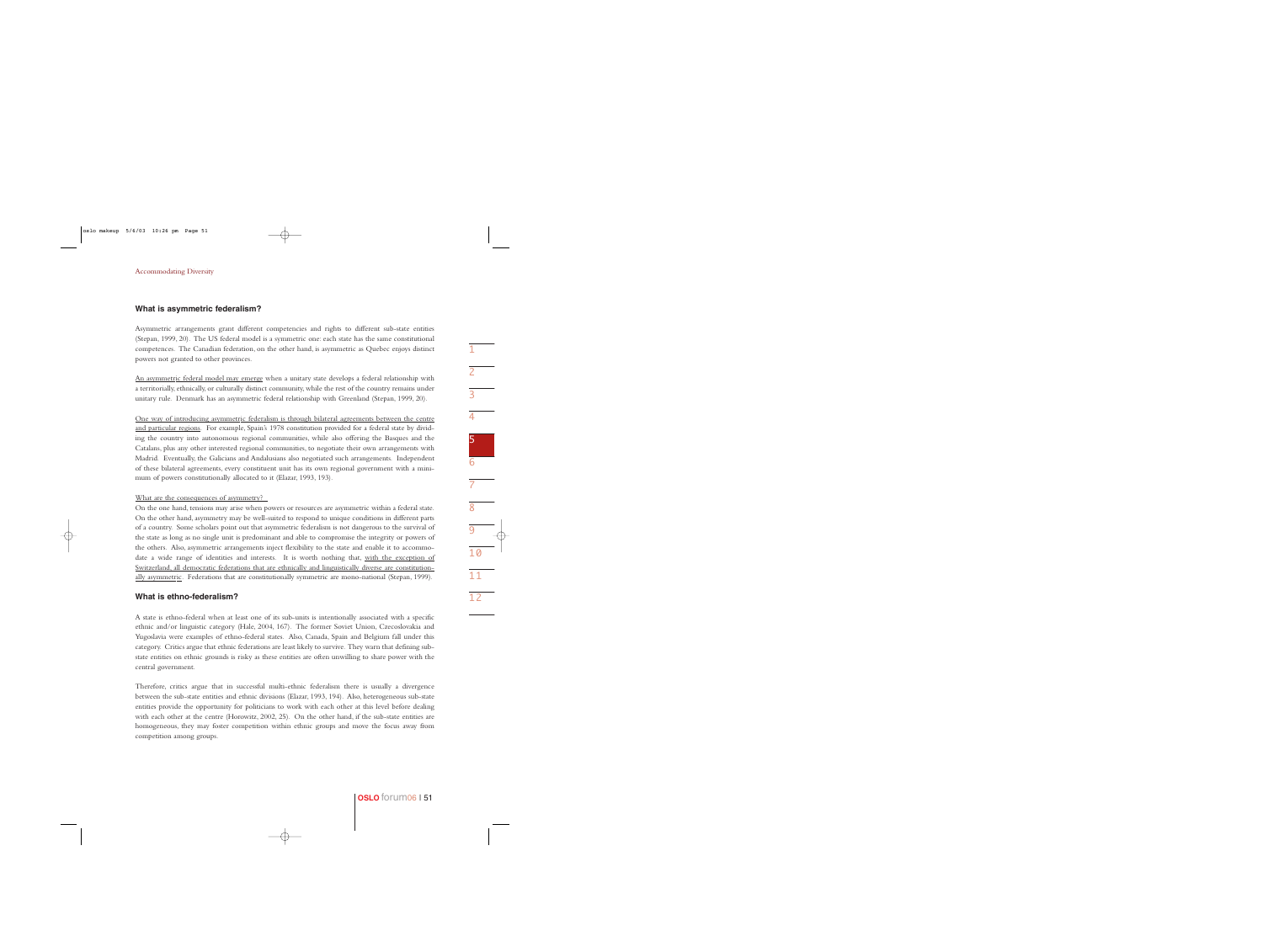#### **What is asymmetric federalism?**

Asymmetric arrangements grant different competencies and rights to different sub-state entities (Stepan, 1999, 20). The US federal model is a symmetric one: each state has the same constitutional competences. The Canadian federation, on the other hand, is asymmetric as Quebec enjoys distinct powers not granted to other provinces.

An asymmetric federal model may emerge when a unitary state develops a federal relationship with a territorially, ethnically, or culturally distinct community, while the rest of the country remains under unitary rule. Denmark has an asymmetric federal relationship with Greenland (Stepan, 1999, 20).

One way of introducing asymmetric federalism is through bilateral agreements between the centre and particular regions. For example, Spain's 1978 constitution provided for a federal state by dividing the country into autonomous regional communities, while also offering the Basques and the Catalans, plus any other interested regional communities, to negotiate their own arrangements with Madrid. Eventually, the Galicians and Andalusians also negotiated such arrangements. Independent of these bilateral agreements, every constituent unit has its own regional government with a minimum of powers constitutionally allocated to it (Elazar, 1993, 193).

#### What are the consequences of asymmetry?

On the one hand, tensions may arise when powers or resources are asymmetric within a federal state. On the other hand, asymmetry may be well-suited to respond to unique conditions in different parts of a country. Some scholars point out that asymmetric federalism is not dangerous to the survival of the state as long as no single unit is predominant and able to compromise the integrity or powers of the others. Also, asymmetric arrangements inject flexibility to the state and enable it to accommodate a wide range of identities and interests. It is worth nothing that, with the exception of Switzerland, all democratic federations that are ethnically and linguistically diverse are constitutionally asymmetric. Federations that are constitutionally symmetric are mono-national (Stepan, 1999).

#### **What is ethno-federalism?**

A state is ethno-federal when at least one of its sub-units is intentionally associated with a specific ethnic and/or linguistic category (Hale, 2004, 167). The former Soviet Union, Czecoslovakia and Yugoslavia were examples of ethno-federal states. Also, Canada, Spain and Belgium fall under this category. Critics argue that ethnic federations are least likely to survive. They warn that defining substate entities on ethnic grounds is risky as these entities are often unwilling to share power with the central government.

Therefore, critics argue that in successful multi-ethnic federalism there is usually a divergence between the sub-state entities and ethnic divisions (Elazar, 1993, 194). Also, heterogeneous sub-state entities provide the opportunity for politicians to work with each other at this level before dealing with each other at the centre (Horowitz, 2002, 25). On the other hand, if the sub-state entities are homogeneous, they may foster competition within ethnic groups and move the focus away from competition among groups.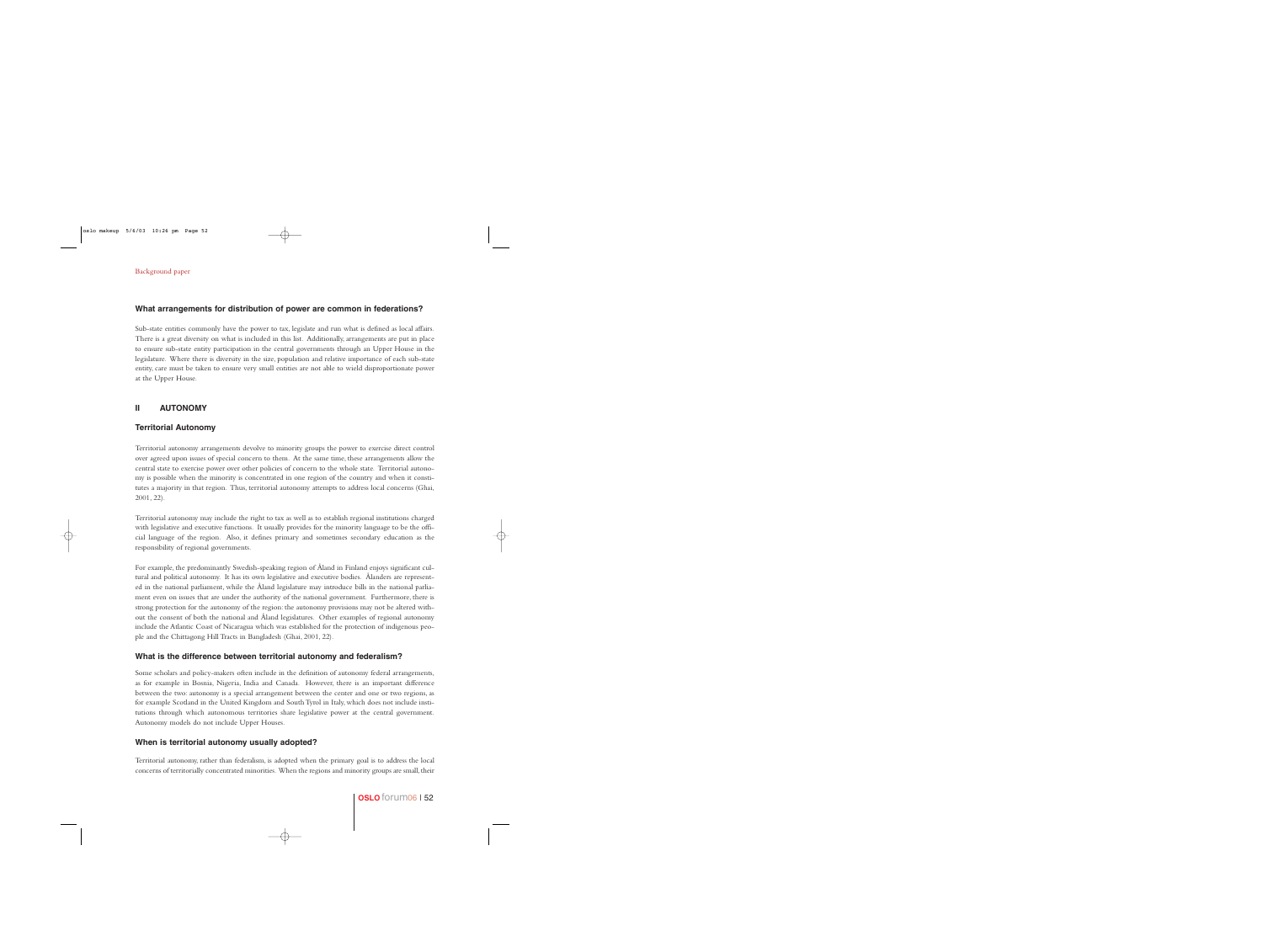## **What arrangements for distribution of power are common in federations?**

Sub-state entities commonly have the power to tax, legislate and run what is defined as local affairs. There is a great diversity on what is included in this list. Additionally, arrangements are put in place to ensure sub-state entity participation in the central governments through an Upper House in the legislature. Where there is diversity in the size, population and relative importance of each sub-state entity, care must be taken to ensure very small entities are not able to wield disproportionate power at the Upper House.

# **II AUTONOMY**

## **Territorial Autonomy**

Territorial autonomy arrangements devolve to minority groups the power to exercise direct control over agreed upon issues of special concern to them. At the same time, these arrangements allow the central state to exercise power over other policies of concern to the whole state. Territorial autonomy is possible when the minority is concentrated in one region of the country and when it constitutes a majority in that region. Thus, territorial autonomy attempts to address local concerns (Ghai, 2001, 22).

Territorial autonomy may include the right to tax as well as to establish regional institutions charged with legislative and executive functions. It usually provides for the minority language to be the official language of the region. Also, it defines primary and sometimes secondary education as the responsibility of regional governments.

For example, the predominantly Swedish-speaking region of Åland in Finland enjoys significant cultural and political autonomy. It has its own legislative and executive bodies. Ålanders are represented in the national parliament, while the Åland legislature may introduce bills in the national parliament even on issues that are under the authority of the national government. Furthermore, there is strong protection for the autonomy of the region: the autonomy provisions may not be altered without the consent of both the national and Åland legislatures. Other examples of regional autonomy include the Atlantic Coast of Nicaragua which was established for the protection of indigenous people and the Chittagong Hill Tracts in Bangladesh (Ghai, 2001, 22).

#### **What is the difference between territorial autonomy and federalism?**

Some scholars and policy-makers often include in the definition of autonomy federal arrangements, as for example in Bosnia, Nigeria, India and Canada. However, there is an important difference between the two: autonomy is a special arrangement between the center and one or two regions, as for example Scotland in the United Kingdom and South Tyrol in Italy, which does not include institutions through which autonomous territories share legislative power at the central government. Autonomy models do not include Upper Houses.

#### **When is territorial autonomy usually adopted?**

Territorial autonomy, rather than federalism, is adopted when the primary goal is to address the local concerns of territorially concentrated minorities. When the regions and minority groups are small, their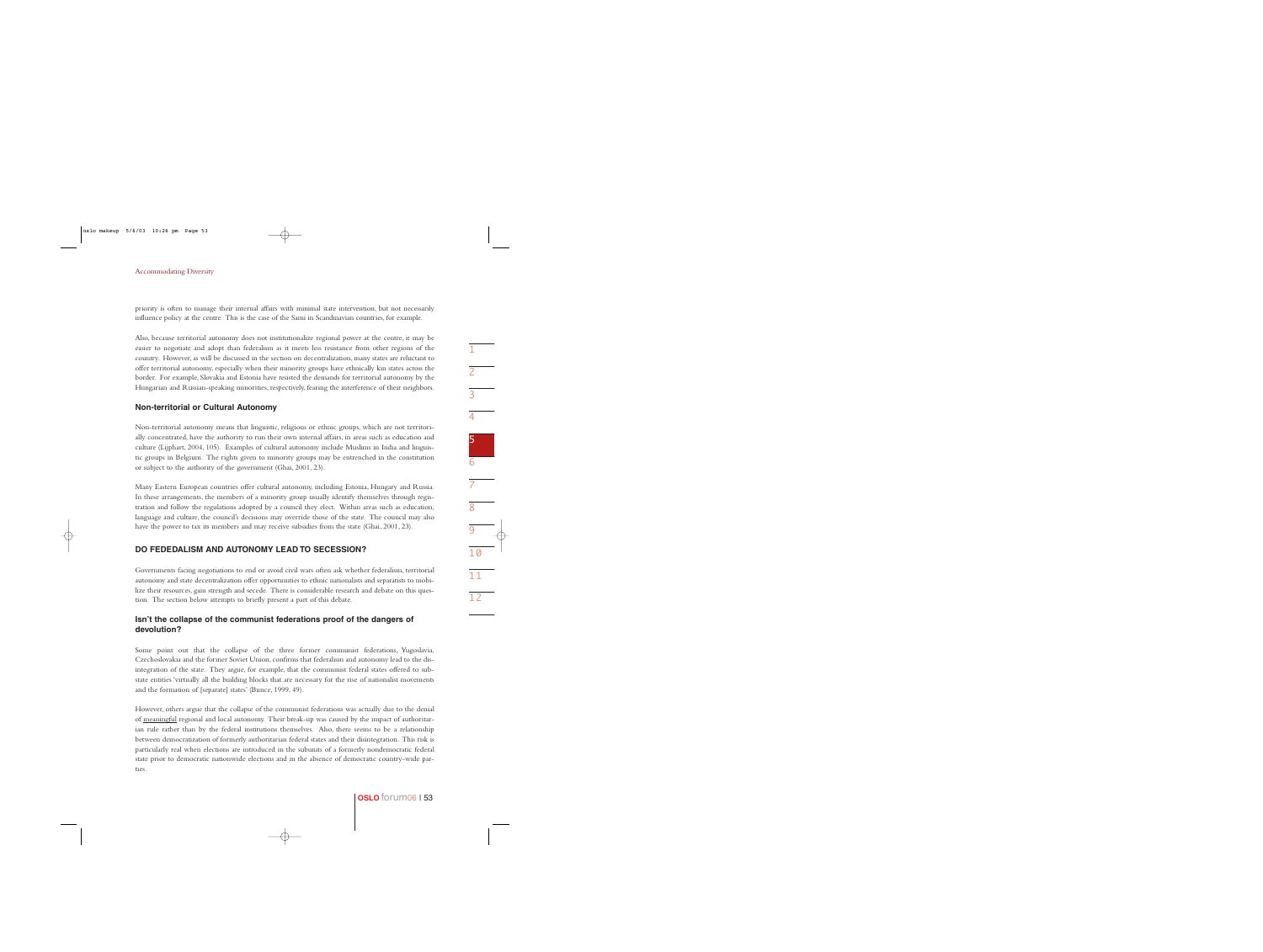priority is often to manage their internal affairs with minimal state intervention, but not necessarily influence policy at the centre. This is the case of the Sami in Scandinavian countries, for example.

Also, because territorial autonomy does not institutionalize regional power at the centre, it may be easier to negotiate and adopt than federalism as it meets less resistance from other regions of the country. However, as will be discussed in the section on decentralization, many states are reluctant to offer territorial autonomy, especially when their minority groups have ethnically kin states across the border. For example, Slovakia and Estonia have resisted the demands for territorial autonomy by the Hungarian and Russian-speaking minorities, respectively, fearing the interference of their neighbors.

#### **Non-territorial or Cultural Autonomy**

Non-territorial autonomy means that linguistic, religious or ethnic groups, which are not territorially concentrated, have the authority to run their own internal affairs, in areas such as education and culture (Lijphart, 2004, 105). Examples of cultural autonomy include Muslims in India and linguistic groups in Belgium. The rights given to minority groups may be entrenched in the constitution or subject to the authority of the government (Ghai, 2001, 23).

Many Eastern European countries offer cultural autonomy, including Estonia, Hungary and Russia. In these arrangements, the members of a minority group usually identify themselves through registration and follow the regulations adopted by a council they elect. Within areas such as education, language and culture, the council's decisions may override those of the state. The council may also have the power to tax its members and may receive subsidies from the state (Ghai, 2001, 23).

# **DO FEDEDALISM AND AUTONOMY LEAD TO SECESSION?**

Governments facing negotiations to end or avoid civil wars often ask whether federalism, territorial autonomy and state decentralization offer opportunities to ethnic nationalists and separatists to mobilize their resources, gain strength and secede. There is considerable research and debate on this question. The section below attempts to briefly present a part of this debate.

#### **Isn't the collapse of the communist federations proof of the dangers of devolution?**

Some point out that the collapse of the three former communist federations, Yugoslavia, Czechoslovakia and the former Soviet Union, confirms that federalism and autonomy lead to the disintegration of the state. They argue, for example, that the communist federal states offered to substate entities 'virtually all the building blocks that are necessary for the rise of nationalist movements and the formation of [separate] states' (Bunce, 1999, 49).

However, others argue that the collapse of the communist federations was actually due to the denial of meaningful regional and local autonomy. Their break-up was caused by the impact of authoritarian rule rather than by the federal institutions themselves. Also, there seems to be a relationship between democratization of formerly authoritarian federal states and their disintegration. This risk is particularly real when elections are introduced in the subunits of a formerly nondemocratic federal state prior to democratic nationwide elections and in the absence of democratic country-wide parties.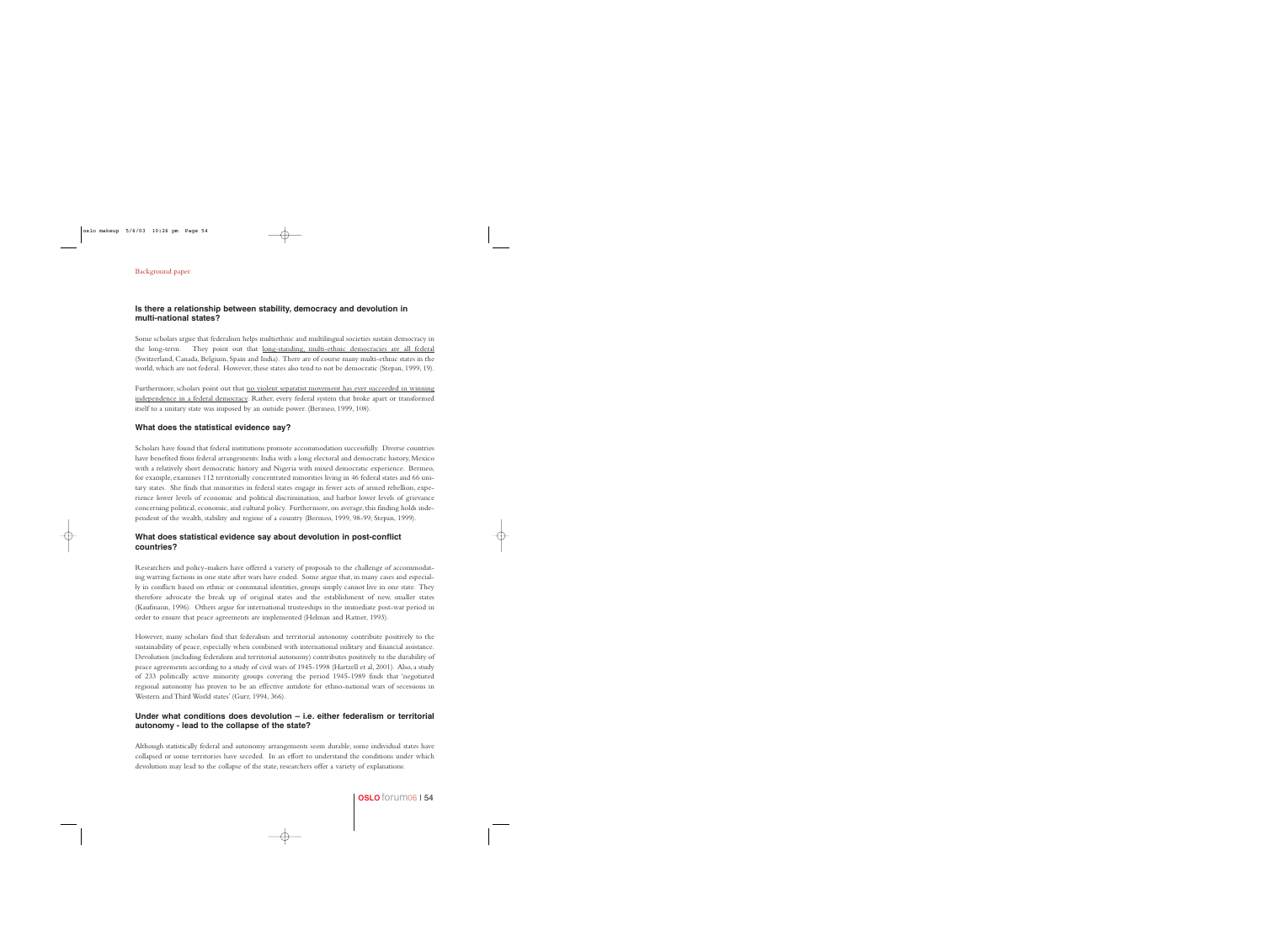# **Is there a relationship between stability, democracy and devolution in multi-national states?**

Some scholars argue that federalism helps multiethnic and multilingual societies sustain democracy in the long-term. They point out that long-standing, multi-ethnic democracies are all federal (Switzerland, Canada, Belgium, Spain and India). There are of course many multi-ethnic states in the world, which are not federal. However, these states also tend to not be democratic (Stepan, 1999, 19).

Furthermore, scholars point out that no violent separatist movement has ever succeeded in winning independence in a federal democracy. Rather, every federal system that broke apart or transformed itself to a unitary state was imposed by an outside power. (Bermeo, 1999, 108).

## **What does the statistical evidence say?**

Scholars have found that federal institutions promote accommodation successfully. Diverse countries have benefited from federal arrangements: India with a long electoral and democratic history, Mexico with a relatively short democratic history and Nigeria with mixed democratic experience. Bermeo, for example, examines 112 territorially concentrated minorities living in 46 federal states and 66 unitary states. She finds that minorities in federal states engage in fewer acts of armed rebellion, experience lower levels of economic and political discrimination, and harbor lower levels of grievance concerning political, economic, and cultural policy. Furthermore, on average, this finding holds independent of the wealth, stability and regime of a country (Bermeo, 1999, 98-99; Stepan, 1999).

## **What does statistical evidence say about devolution in post-conflict countries?**

Researchers and policy-makers have offered a variety of proposals to the challenge of accommodating warring factions in one state after wars have ended. Some argue that, in many cases and especially in conflicts based on ethnic or communal identities, groups simply cannot live in one state. They therefore advocate the break up of original states and the establishment of new, smaller states (Kaufmann, 1996). Others argue for international trusteeships in the immediate post-war period in order to ensure that peace agreements are implemented (Helman and Ratner, 1993).

However, many scholars find that federalism and territorial autonomy contribute positively to the sustainability of peace, especially when combined with international military and financial assistance. Devolution (including federalism and territorial autonomy) contributes positively to the durability of peace agreements according to a study of civil wars of 1945-1998 (Hartzell et al, 2001). Also, a study of 233 politically active minority groups covering the period 1945-1989 finds that 'negotiated regional autonomy has proven to be an effective antidote for ethno-national wars of secessions in Western and Third World states' (Gurr, 1994, 366).

## **Under what conditions does devolution – i.e. either federalism or territorial autonomy - lead to the collapse of the state?**

Although statistically federal and autonomy arrangements seem durable, some individual states have collapsed or some territories have seceded. In an effort to understand the conditions under which devolution may lead to the collapse of the state, researchers offer a variety of explanations: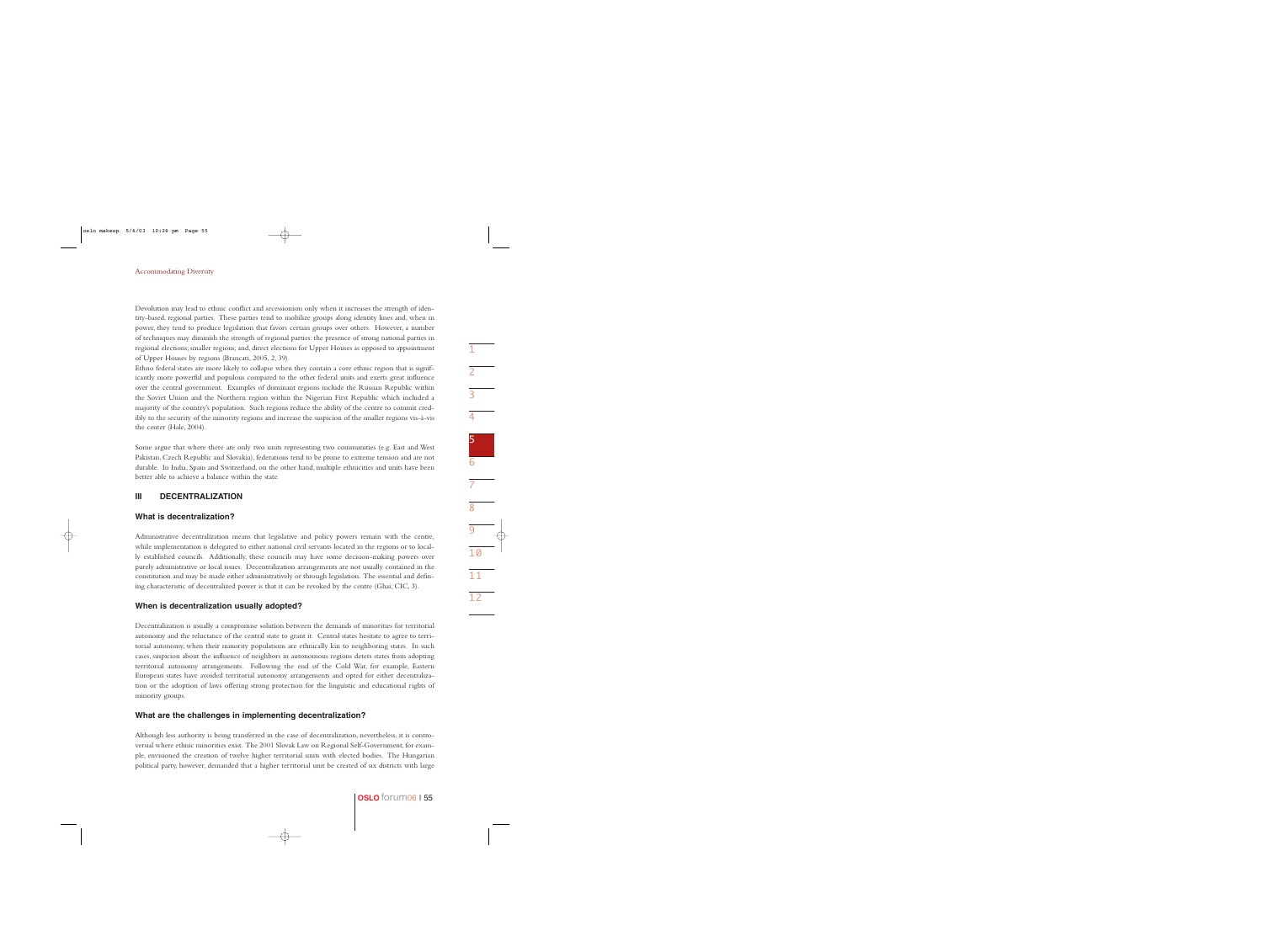Devolution may lead to ethnic conflict and secessionism only when it increases the strength of identity-based, regional parties. These parties tend to mobilize groups along identity lines and, when in power, they tend to produce legislation that favors certain groups over others. However, a number of techniques may diminish the strength of regional parties: the presence of strong national parties in regional elections; smaller regions; and, direct elections for Upper Houses as opposed to appointment of Upper Houses by regions (Brancati, 2005, 2, 39).

Ethno federal states are more likely to collapse when they contain a core ethnic region that is significantly more powerful and populous compared to the other federal units and exerts great influence over the central government. Examples of dominant regions include the Russian Republic within the Soviet Union and the Northern region within the Nigerian First Republic which included a majority of the country's population. Such regions reduce the ability of the centre to commit credibly to the security of the minority regions and increase the suspicion of the smaller regions vis-à-vis the center (Hale, 2004).

Some argue that where there are only two units representing two communities (e.g. East and West Pakistan, Czech Republic and Slovakia), federations tend to be prone to extreme tension and are not durable. In India, Spain and Switzerland, on the other hand, multiple ethnicities and units have been better able to achieve a balance within the state.

#### **III DECENTRALIZATION**

#### **What is decentralization?**

Administrative decentralization means that legislative and policy powers remain with the centre, while implementation is delegated to either national civil servants located in the regions or to locally established councils. Additionally, these councils may have some decision-making powers over purely administrative or local issues. Decentralization arrangements are not usually contained in the constitution and may be made either administratively or through legislation. The essential and defining characteristic of decentralized power is that it can be revoked by the centre (Ghai, CIC, 3).

#### **When is decentralization usually adopted?**

Decentralization is usually a compromise solution between the demands of minorities for territorial autonomy and the reluctance of the central state to grant it. Central states hesitate to agree to territorial autonomy, when their minority populations are ethnically kin to neighboring states. In such cases, suspicion about the influence of neighbors in autonomous regions deters states from adopting territorial autonomy arrangements. Following the end of the Cold War, for example, Eastern European states have avoided territorial autonomy arrangements and opted for either decentralization or the adoption of laws offering strong protection for the linguistic and educational rights of minority groups.

#### **What are the challenges in implementing decentralization?**

Although less authority is being transferred in the case of decentralization, nevertheless, it is controversial where ethnic minorities exist. The 2001 Slovak Law on Regional Self-Government, for example, envisioned the creation of twelve higher territorial units with elected bodies. The Hungarian political party, however, demanded that a higher territorial unit be created of six districts with large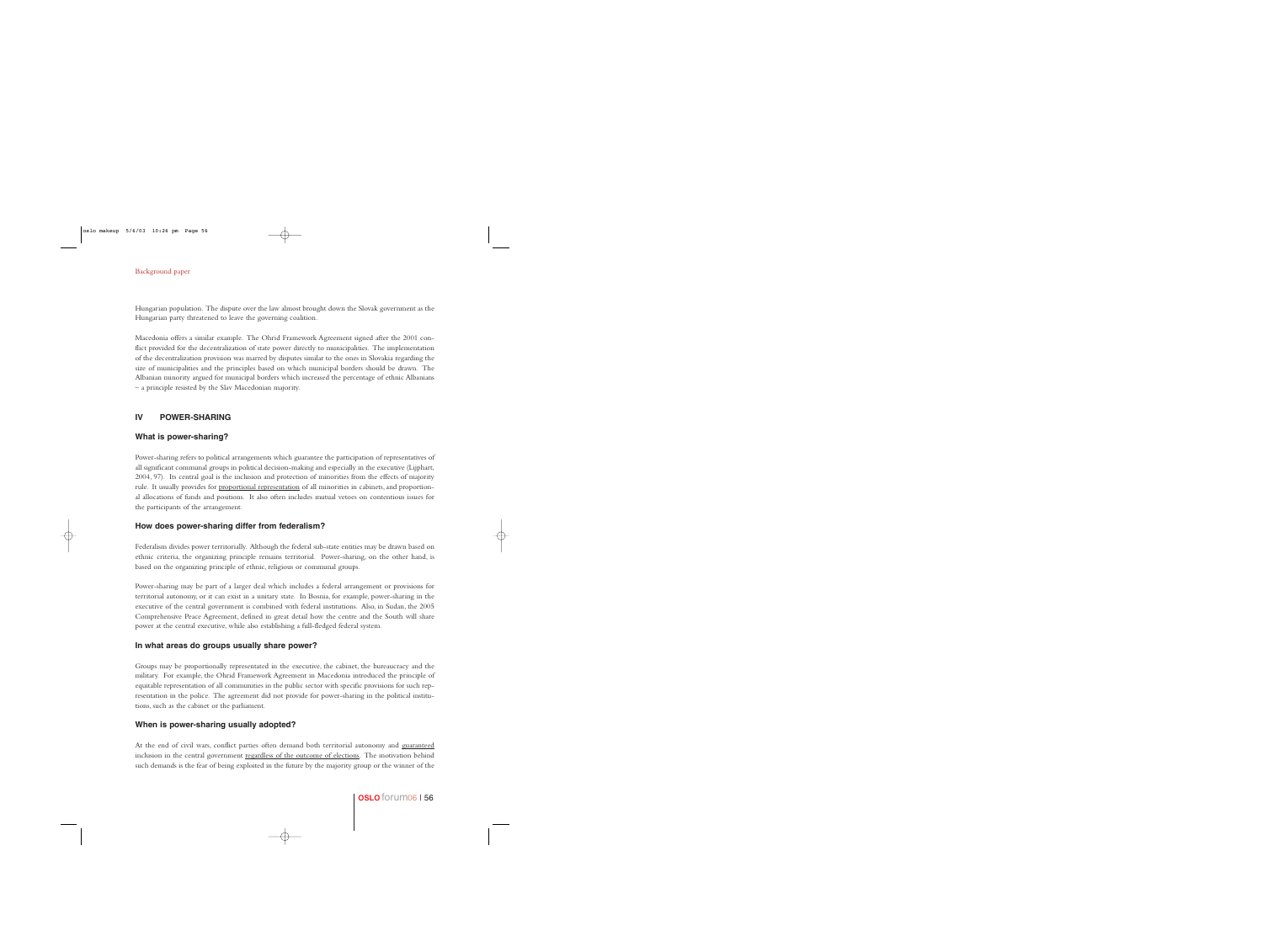Hungarian population. The dispute over the law almost brought down the Slovak government as the Hungarian party threatened to leave the governing coalition.

Macedonia offers a similar example. The Ohrid Framework Agreement signed after the 2001 conflict provided for the decentralization of state power directly to municipalities. The implementation of the decentralization provision was marred by disputes similar to the ones in Slovakia regarding the size of municipalities and the principles based on which municipal borders should be drawn. The Albanian minority argued for municipal borders which increased the percentage of ethnic Albanians – a principle resisted by the Slav Macedonian majority.

## **IV POWER-SHARING**

#### **What is power-sharing?**

Power-sharing refers to political arrangements which guarantee the participation of representatives of all significant communal groups in political decision-making and especially in the executive (Lijphart, 2004, 97). Its central goal is the inclusion and protection of minorities from the effects of majority rule. It usually provides for proportional representation of all minorities in cabinets, and proportional allocations of funds and positions. It also often includes mutual vetoes on contentious issues for the participants of the arrangement.

## **How does power-sharing differ from federalism?**

Federalism divides power territorially. Although the federal sub-state entities may be drawn based on ethnic criteria, the organizing principle remains territorial. Power-sharing, on the other hand, is based on the organizing principle of ethnic, religious or communal groups.

Power-sharing may be part of a larger deal which includes a federal arrangement or provisions for territorial autonomy, or it can exist in a unitary state. In Bosnia, for example, power-sharing in the executive of the central government is combined with federal institutions. Also, in Sudan, the 2005 Comprehensive Peace Agreement, defined in great detail how the centre and the South will share power at the central executive, while also establishing a full-fledged federal system.

# **In what areas do groups usually share power?**

Groups may be proportionally representated in the executive, the cabinet, the bureaucracy and the military. For example, the Ohrid Framework Agreement in Macedonia introduced the principle of equitable representation of all communities in the public sector with specific provisions for such representation in the police. The agreement did not provide for power-sharing in the political institutions, such as the cabinet or the parliament.

#### **When is power-sharing usually adopted?**

At the end of civil wars, conflict parties often demand both territorial autonomy and guaranteed inclusion in the central government regardless of the outcome of elections. The motivation behind such demands is the fear of being exploited in the future by the majority group or the winner of the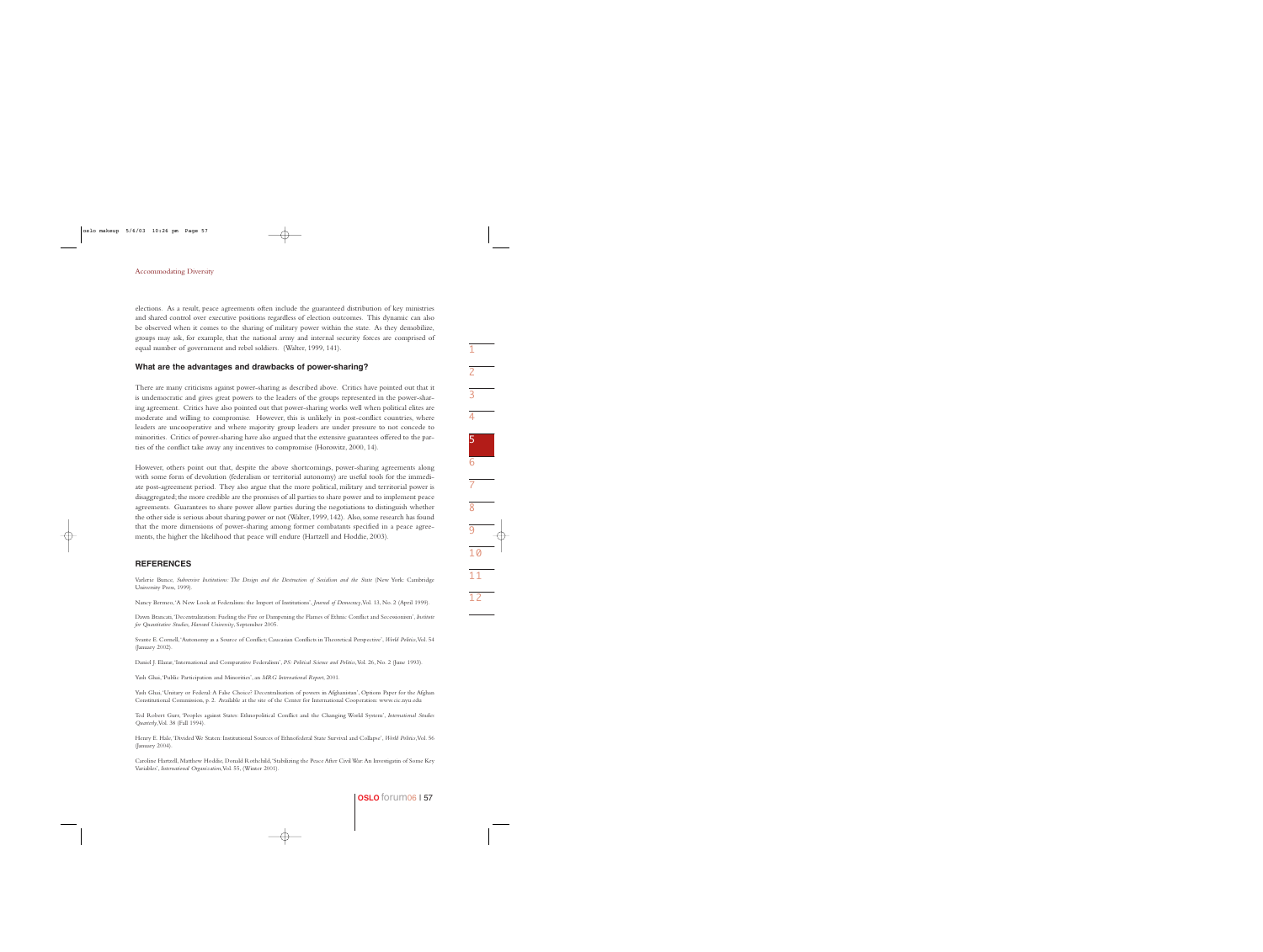elections. As a result, peace agreements often include the guaranteed distribution of key ministries and shared control over executive positions regardless of election outcomes. This dynamic can also be observed when it comes to the sharing of military power within the state. As they demobilize, groups may ask, for example, that the national army and internal security forces are comprised of equal number of government and rebel soldiers. (Walter, 1999, 141).

#### **What are the advantages and drawbacks of power-sharing?**

There are many criticisms against power-sharing as described above. Critics have pointed out that it is undemocratic and gives great powers to the leaders of the groups represented in the power-sharing agreement. Critics have also pointed out that power-sharing works well when political elites are moderate and willing to compromise. However, this is unlikely in post-conflict countries, where leaders are uncooperative and where majority group leaders are under pressure to not concede to minorities. Critics of power-sharing have also argued that the extensive guarantees offered to the parties of the conflict take away any incentives to compromise (Horowitz, 2000, 14).

However, others point out that, despite the above shortcomings, power-sharing agreements along with some form of devolution (federalism or territorial autonomy) are useful tools for the immediate post-agreement period. They also argue that the more political, military and territorial power is disaggregated; the more credible are the promises of all parties to share power and to implement peace agreements. Guarantees to share power allow parties during the negotiations to distinguish whether the other side is serious about sharing power or not (Walter, 1999, 142). Also, some research has found that the more dimensions of power-sharing among former combatants specified in a peace agreements, the higher the likelihood that peace will endure (Hartzell and Hoddie, 2003).

#### **REFERENCES**

Varlerie Bunce, *Subversive Institutions: The Design and the Destruction of Socialism and the State* (New York: Cambridge University Press, 1999).

Nancy Bermeo,'A New Look at Federalism: the Import of Institutions', *Journal of Democracy*,Vol. 13, No. 2 (April 1999).

Dawn Brancati,'Decentralization: Fueling the Fire or Dampening the Flames of Ethnic Conflict and Secessionism', *Institute for Quantitative Studies, Harvard University*, September 2005.

Svante E. Cornell,'Autonomy as a Source of Conflict; Caucasian Conflicts in Theoretical Perspective', *World Politics*,Vol. 54 (January 2002).

Daniel J. Elazar,'International and Comparative Federalism', *PS: Political Science and Politics*,Vol. 26, No. 2 (June 1993).

Yash Ghai,'Public Participation and Minorities', an *MRG International Report*, 2001.

Yash Ghai,'Unitary or Federal: A False Choice? Decentralisation of powers in Afghanistan', Options Paper for the Afghan Constitutional Commission, p. 2. Available at the site of the Center for International Cooperation: www.cic.nyu.edu

Ted Robert Gurr, 'Peoples against States: Ethnopolitical Conflict and the Changing World System', *International Studies Quarterly*,Vol. 38 (Fall 1994).

Henry E. Hale,'Divided We Staten: Institutional Sources of Ethnofederal State Survival and Collapse', *World Politics*,Vol. 56 (January 2004).

Caroline Hartzell, Matthew Hoddie, Donald Rothchild,'Stabilizing the Peace After Civil War:An Investigatin of Some Key Variables', *International Organization*,Vol. 55, (Winter 2001).